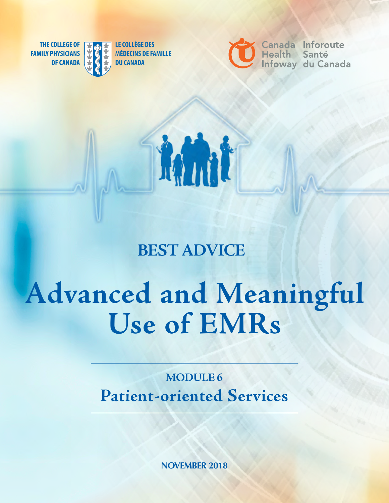**THE COLLEGE OF FAMILY PHYSICIANS OF CANADA**



**LE COLLÈGE DES MÉDECINS DE FAMILLE DU CANADA**



**Canada Inforoute<br>Health Santé<br>Infoway du Canada** 

### **BEST ADVICE**

Mut

# **Advanced and Meaningful Use of EMRs**

**MODULE 6 Patient-oriented Services** 

**NOVEMBER 2018**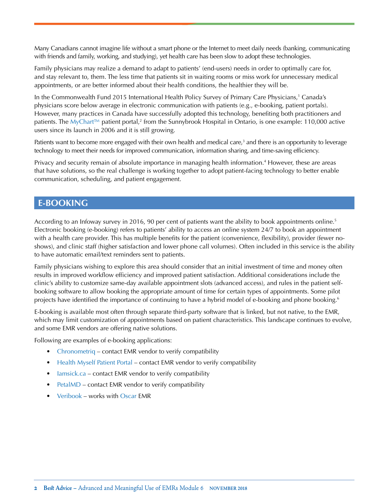Many Canadians cannot imagine life without a smart phone or the Internet to meet daily needs (banking, communicating with friends and family, working, and studying), yet health care has been slow to adopt these technologies.

Family physicians may realize a demand to adapt to patients' (end-users) needs in order to optimally care for, and stay relevant to, them. The less time that patients sit in waiting rooms or miss work for unnecessary medical appointments, or are better informed about their health conditions, the healthier they will be.

In the Commonwealth Fund 2015 International Health Policy Survey of Primary Care Physicians,<sup>1</sup> Canada's physicians score below average in electronic communication with patients (e.g., e-booking, patient portals). However, many practices in Canada have successfully adopted this technology, benefiting both practitioners and patients. The [MyChart™](https://sunnybrook.ca/uploads/1/patients/resources/my-chart-10-years.png) patient portal,<sup>2</sup> from the Sunnybrook Hospital in Ontario, is one example: 110,000 active users since its launch in 2006 and it is still growing.

Patients want to become more engaged with their own health and medical care,<sup>3</sup> and there is an opportunity to leverage technology to meet their needs for improved communication, information sharing, and time-saving efficiency.

Privacy and security remain of absolute importance in managing health information.4 However, these are areas that have solutions, so the real challenge is working together to adopt patient-facing technology to better enable communication, scheduling, and patient engagement.

#### **E-BOOKING**

According to an Infoway survey in 2016, 90 per cent of patients want the ability to book appointments online.5 Electronic booking (e-booking) refers to patients' ability to access an online system 24/7 to book an appointment with a health care provider. This has multiple benefits for the patient (convenience, flexibility), provider (fewer noshows), and clinic staff (higher satisfaction and lower phone call volumes). Often included in this service is the ability to have automatic email/text reminders sent to patients.

Family physicians wishing to explore this area should consider that an initial investment of time and money often results in improved workflow efficiency and improved patient satisfaction. Additional considerations include the clinic's ability to customize same-day available appointment slots (advanced access), and rules in the patient selfbooking software to allow booking the appropriate amount of time for certain types of appointments. Some pilot projects have identified the importance of continuing to have a hybrid model of e-booking and phone booking.<sup>6</sup>

E-booking is available most often through separate third-party software that is linked, but not native, to the EMR, which may limit customization of appointments based on patient characteristics. This landscape continues to evolve, and some EMR vendors are offering native solutions.

Following are examples of e-booking applications:

- [Chronometriq](https://chronometriq.ca/) contact EMR vendor to verify compatibility
- [Health Myself Patient Portal](https://healthmyself.ca/)  contact EMR vendor to verify compatibility
- lamsick.ca contact EMR vendor to verify compatibility
- [PetalMD](https://www.petalmd.com/) contact EMR vendor to verify compatibility
- [Veribook](https://veribook.com/#vs=HomePageState&hId=1)  works with [Oscar](https://oscar-emr.com/) EMR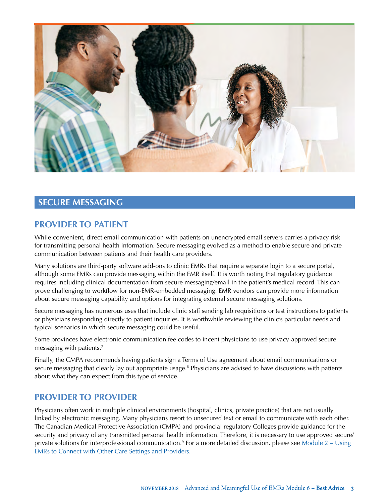

#### **SECURE MESSAGING**

#### **PROVIDER TO PATIENT**

While convenient, direct email communication with patients on unencrypted email servers carries a privacy risk for transmitting personal health information. Secure messaging evolved as a method to enable secure and private communication between patients and their health care providers.

Many solutions are third-party software add-ons to clinic EMRs that require a separate login to a secure portal, although some EMRs can provide messaging within the EMR itself. It is worth noting that regulatory guidance requires including clinical documentation from secure messaging/email in the patient's medical record. This can prove challenging to workflow for non-EMR-embedded messaging. EMR vendors can provide more information about secure messaging capability and options for integrating external secure messaging solutions.

Secure messaging has numerous uses that include clinic staff sending lab requisitions or test instructions to patients or physicians responding directly to patient inquiries. It is worthwhile reviewing the clinic's particular needs and typical scenarios in which secure messaging could be useful.

Some provinces have electronic communication fee codes to incent physicians to use privacy-approved secure messaging with patients.<sup>7</sup>

Finally, the CMPA recommends having patients sign a Terms of Use agreement about email communications or secure messaging that clearly lay out appropriate usage.<sup>8</sup> Physicians are advised to have discussions with patients about what they can expect from this type of service.

#### **PROVIDER TO PROVIDER**

Physicians often work in multiple clinical environments (hospital, clinics, private practice) that are not usually linked by electronic messaging. Many physicians resort to unsecured text or email to communicate with each other. The Canadian Medical Protective Association (CMPA) and provincial regulatory Colleges provide guidance for the security and privacy of any transmitted personal health information. Therefore, it is necessary to use approved secure/ private solutions for interprofessional communication.<sup>9</sup> [For a more detailed discussion, please see Module 2 – Using](http://patientsmedicalhome.ca/files/uploads/BAG_EMR2_ENG_mod2.pdf) EMRs to Connect with Other Care Settings and Providers.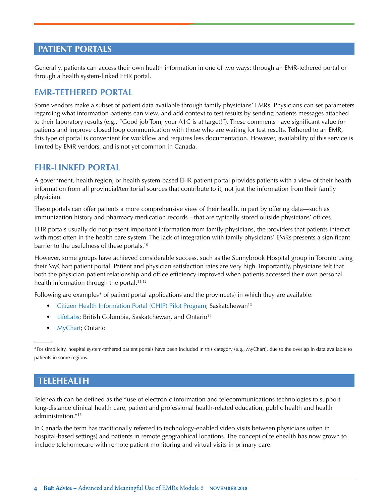#### **PATIENT PORTALS**

Generally, patients can access their own health information in one of two ways: through an EMR-tethered portal or through a health system-linked EHR portal.

#### **EMR-TETHERED PORTAL**

Some vendors make a subset of patient data available through family physicians' EMRs. Physicians can set parameters regarding what information patients can view, and add context to test results by sending patients messages attached to their laboratory results (e.g., "Good job Tom, your A1C is at target!"). These comments have significant value for patients and improve closed loop communication with those who are waiting for test results. Tethered to an EMR, this type of portal is convenient for workflow and requires less documentation. However, availability of this service is limited by EMR vendors, and is not yet common in Canada.

#### **EHR-LINKED PORTAL**

A government, health region, or health system-based EHR patient portal provides patients with a view of their health information from all provincial/territorial sources that contribute to it, not just the information from their family physician.

These portals can offer patients a more comprehensive view of their health, in part by offering data—such as immunization history and pharmacy medication records—that are typically stored outside physicians' offices.

EHR portals usually do not present important information from family physicians, the providers that patients interact with most often in the health care system. The lack of integration with family physicians' EMRs presents a significant barrier to the usefulness of these portals.<sup>10</sup>

However, some groups have achieved considerable success, such as the Sunnybrook Hospital group in Toronto using their MyChart patient portal. Patient and physician satisfaction rates are very high. Importantly, physicians felt that both the physician-patient relationship and office efficiency improved when patients accessed their own personal health information through the portal.<sup>11,12</sup>

Following are examples\* of patient portal applications and the province(s) in which they are available:

- [Citizen Health Information Portal \(CHIP\) Pilot Program;](https://www.ehealthsask.ca/citizen-engagement/CHIP) Saskatchewan<sup>13</sup>
- **[LifeLabs](http://www.lifelabs.com/); British Columbia, Saskatchewan, and Ontario<sup>14</sup>**
- [MyChart](https://www.mychart.ca/); Ontario

\*For simplicity, hospital system-tethered patient portals have been included in this category (e.g., MyChart), due to the overlap in data available to patients in some regions.

#### **TELEHEALTH**

Telehealth can be defined as the "use of electronic information and telecommunications technologies to support long-distance clinical health care, patient and professional health-related education, public health and health administration."15

In Canada the term has traditionally referred to technology-enabled video visits between physicians (often in hospital-based settings) and patients in remote geographical locations. The concept of telehealth has now grown to include telehomecare with remote patient monitoring and virtual visits in primary care.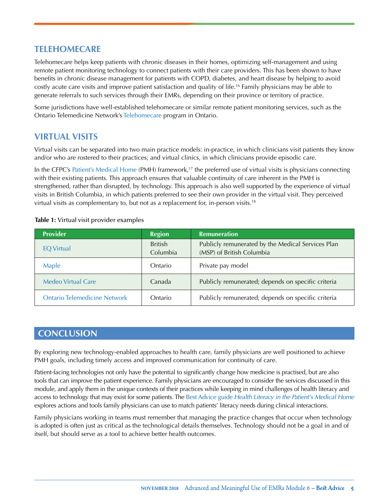#### **TELEHOMECARE**

Telehomecare helps keep patients with chronic diseases in their homes, optimizing self-management and using remote patient monitoring technology to connect patients with their care providers. This has been shown to have benefits in chronic disease management for patients with COPD, diabetes, and heart disease by helping to avoid costly acute care visits and improve patient satisfaction and quality of life.16 Family physicians may be able to generate referrals to such services through their EMRs, depending on their province or territory of practice.

Some jurisdictions have well-established telehomecare or similar remote patient monitoring services, such as the Ontario Telemedicine Network's [Telehomecare](http://telehomecare.otn.ca/) program in Ontario.

#### **VIRTUAL VISITS**

Virtual visits can be separated into two main practice models: in-practice, in which clinicians visit patients they know and/or who are rostered to their practices; and virtual clinics, in which clinicians provide episodic care.

In the CFPC's [Patient's Medical Home](http://patientsmedicalhome.ca) (PMH) framework,<sup>17</sup> the preferred use of virtual visits is physicians connecting with their existing patients. This approach ensures that valuable continuity of care inherent in the PMH is strengthened, rather than disrupted, by technology. This approach is also well supported by the experience of virtual visits in British Columbia, in which patients preferred to see their own provider in the virtual visit. They perceived virtual visits as complementary to, but not as a replacement for, in-person [visits.18](https://visits.18) 

#### **Table 1:** Virtual visit provider examples

| <b>Provider</b>                     | <b>Region</b>              | <b>Remuneration</b>                                                            |
|-------------------------------------|----------------------------|--------------------------------------------------------------------------------|
| <b>EQ Virtual</b>                   | <b>British</b><br>Columbia | Publicly remunerated by the Medical Services Plan<br>(MSP) of British Columbia |
| Maple                               | Ontario                    | Private pay model                                                              |
| <b>Medeo Virtual Care</b>           | Canada                     | Publicly remunerated; depends on specific criteria                             |
| <b>Ontario Telemedicine Network</b> | Ontario                    | Publicly remunerated; depends on specific criteria                             |

#### **CONCLUSION**

By exploring new technology-enabled approaches to health care, family physicians are well positioned to achieve PMH goals, including timely access and improved communication for continuity of care.

Patient-facing technologies not only have the potential to significantly change how medicine is practised, but are also tools that can improve the patient experience. Family physicians are encouraged to consider the services discussed in this module, and apply them in the unique contexts of their practices while keeping in mind challenges of health literacy and access to technology that may exist for some patients. The [Best Advice guide](https://patientsmedicalhome.ca/resources/best-advice-guides/best-advice-guide-health-literacy-patients-medical-home/) *[Health Literacy in the Patient's Medical Home](https://patientsmedicalhome.ca/resources/best-advice-guides/best-advice-guide-health-literacy-patients-medical-home/)*  explores actions and tools family physicians can use to match patients' literacy needs during clinical interactions.

Family physicians working in teams must remember that managing the practice changes that occur when technology is adopted is often just as critical as the technological details themselves. Technology should not be a goal in and of itself, but should serve as a tool to achieve better health outcomes.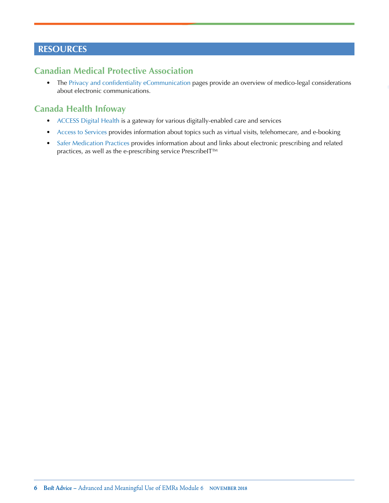#### **RESOURCES**

#### **Canadian Medical Protective Association**

• The [Privacy and confidentiality eCommunication](https://www.cmpa-acpm.ca/serve/docs/ela/goodpracticesguide/pages/communication/Privacy_and_Confidentiality/ecommunication-e.html) pages provide an overview of medico-legal considerations about electronic communications.

### **Canada Health Infoway**

- [ACCESS Digital Health](https://www.infoway-inforoute.ca/en/solutions/access-health) is a gateway for various digitally-enabled care and services
- [Access to Services](https://www.infoway-inforoute.ca/en/solutions/access-health/access-to-services) provides information about topics such as virtual visits, telehomecare, and e-booking
- [Safer Medication Practices](https://www.infoway-inforoute.ca/en/solutions/safer-medication-practices) provides information about and links about electronic prescribing and related practices, as well as the e-prescribing service PrescribeIT™